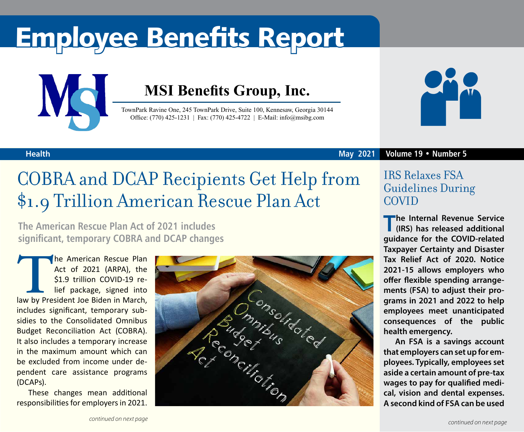# Employee Benefits Report



### **MSI Benefits Group, Inc.**

TownPark Ravine One, 245 TownPark Drive, Suite 100, Kennesaw, Georgia 30144 Office: (770) 425-1231 | Fax: (770) 425-4722 | E-Mail: info@msibg.com



#### **Health**

#### **May 2021 Volume 19 • Number 5**

### COBRA and DCAP Recipients Get Help from \$1.9 Trillion American Rescue Plan Act

**The American Rescue Plan Act of 2021 includes significant, temporary COBRA and DCAP changes**

The American Rescue Plan<br>
Act of 2021 (ARPA), the<br>
\$1.9 trillion COVID-19 re-<br>
lief package, signed into<br>
law by President Joe Biden in March, Act of 2021 (ARPA), the \$1.9 trillion COVID-19 relief package, signed into includes significant, temporary subsidies to the Consolidated Omnibus Budget Reconciliation Act (COBRA). It also includes a temporary increase in the maximum amount which can be excluded from income under dependent care assistance programs (DCAPs).

These changes mean additional responsibilities for employers in 2021.



### IRS Relaxes FSA Guidelines During COVID

**The Internal Revenue Service (IRS) has released additional guidance for the COVID-related Taxpayer Certainty and Disaster Tax Relief Act of 2020. Notice 2021-15 allows employers who offer flexible spending arrangements (FSA) to adjust their programs in 2021 and 2022 to help employees meet unanticipated consequences of the public health emergency.**

**An FSA is a savings account that employers can set up for employees. Typically, employees set aside a certain amount of pre-tax wages to pay for qualified medical, vision and dental expenses. A second kind of FSA can be used**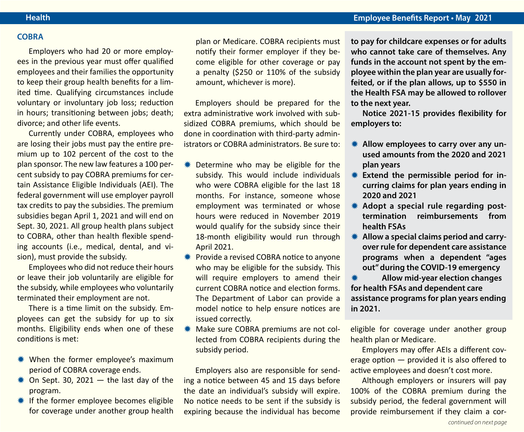#### **COBRA**

Employers who had 20 or more employees in the previous year must offer qualified employees and their families the opportunity to keep their group health benefits for a limited time. Qualifying circumstances include voluntary or involuntary job loss; reduction in hours; transitioning between jobs; death; divorce; and other life events.

Currently under COBRA, employees who are losing their jobs must pay the entire premium up to 102 percent of the cost to the plan sponsor. The new law features a 100 percent subsidy to pay COBRA premiums for certain Assistance Eligible Individuals (AEI). The federal government will use employer payroll tax credits to pay the subsidies. The premium subsidies began April 1, 2021 and will end on Sept. 30, 2021. All group health plans subject to COBRA, other than health flexible spending accounts (i.e., medical, dental, and vision), must provide the subsidy.

Employees who did not reduce their hours or leave their job voluntarily are eligible for the subsidy, while employees who voluntarily terminated their employment are not.

There is a time limit on the subsidy. Employees can get the subsidy for up to six months. Eligibility ends when one of these conditions is met:

- \* When the former employee's maximum period of COBRA coverage ends.
- $*$  On Sept. 30, 2021  $-$  the last day of the program.
- **\#\** If the former employee becomes eligible for coverage under another group health

plan or Medicare. COBRA recipients must notify their former employer if they become eligible for other coverage or pay a penalty (\$250 or 110% of the subsidy amount, whichever is more).

Employers should be prepared for the extra administrative work involved with subsidized COBRA premiums, which should be done in coordination with third-party administrators or COBRA administrators. Be sure to:

- **\*\*** Determine who may be eligible for the subsidy. This would include individuals who were COBRA eligible for the last 18 months. For instance, someone whose employment was terminated or whose hours were reduced in November 2019 would qualify for the subsidy since their 18-month eligibility would run through April 2021.
- **\*\*** Provide a revised COBRA notice to anyone who may be eligible for the subsidy. This will require employers to amend their current COBRA notice and election forms. The Department of Labor can provide a model notice to help ensure notices are issued correctly.
- Make sure COBRA premiums are not collected from COBRA recipients during the subsidy period.

Employers also are responsible for sending a notice between 45 and 15 days before the date an individual's subsidy will expire. No notice needs to be sent if the subsidy is expiring because the individual has become

**to pay for childcare expenses or for adults who cannot take care of themselves. Any funds in the account not spent by the employee within the plan year are usually forfeited, or if the plan allows, up to \$550 in the Health FSA may be allowed to rollover to the next year.** 

**Notice 2021-15 provides flexibility for employers to:**

- **K** Allow employees to carry over any un**used amounts from the 2020 and 2021 plan years**
- **KEXTER EXTERED FIGURE FIGURE:** EXTERIGNMENT FIGURE **curring claims for plan years ending in 2020 and 2021**
- \* Adopt a special rule regarding post**termination reimbursements from health FSAs**
- $*$  **Allow a special claims period and carryover rule for dependent care assistance programs when a dependent "ages out" during the COVID-19 emergency**

**Allow mid-year election changes for health FSAs and dependent care assistance programs for plan years ending in 2021.**

eligible for coverage under another group health plan or Medicare.

Employers may offer AEIs a different coverage option — provided it is also offered to active employees and doesn't cost more.

Although employers or insurers will pay 100% of the COBRA premium during the subsidy period, the federal government will provide reimbursement if they claim a cor-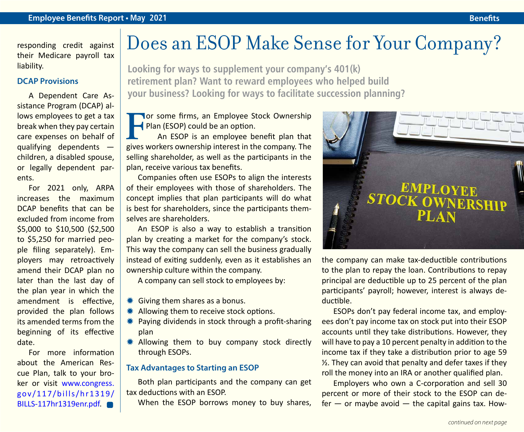responding credit against their Medicare payroll tax liability.

#### **DCAP Provisions**

A Dependent Care Assistance Program (DCAP) allows employees to get a tax break when they pay certain care expenses on behalf of qualifying dependents children, a disabled spouse, or legally dependent parents.

For 2021 only, ARPA increases the maximum DCAP benefits that can be excluded from income from \$5,000 to \$10,500 (\$2,500 to \$5,250 for married people filing separately). Employers may retroactively amend their DCAP plan no later than the last day of the plan year in which the amendment is effective, provided the plan follows its amended terms from the beginning of its effective date.

For more information about the American Rescue Plan, talk to your broker or visit [www.congress.](http://www.congress.gov/117/bills/hr1319/BILLS-117hr1319enr.pdf) [gov/117/bills/hr1319/](http://www.congress.gov/117/bills/hr1319/BILLS-117hr1319enr.pdf) [BILLS-117hr1319enr.pdf](http://www.congress.gov/117/bills/hr1319/BILLS-117hr1319enr.pdf).

### Does an ESOP Make Sense for Your Company?

**Looking for ways to supplement your company's 401(k) retirement plan? Want to reward employees who helped build your business? Looking for ways to facilitate succession planning?**

**For some firms, an Employee Stock Ownership** Plan (ESOP) could be an option.

An ESOP is an employee benefit plan that gives workers ownership interest in the company. The selling shareholder, as well as the participants in the plan, receive various tax benefits.

Companies often use ESOPs to align the interests of their employees with those of shareholders. The concept implies that plan participants will do what is best for shareholders, since the participants themselves are shareholders.

An ESOP is also a way to establish a transition plan by creating a market for the company's stock. This way the company can sell the business gradually instead of exiting suddenly, even as it establishes an ownership culture within the company.

A company can sell stock to employees by:

- $*$  **Giving them shares as a bonus.**
- \* Allowing them to receive stock options.
- $*$  Paying dividends in stock through a profit-sharing plan
- \* Allowing them to buy company stock directly through ESOPs.

#### **Tax Advantages to Starting an ESOP**

Both plan participants and the company can get tax deductions with an ESOP.

When the ESOP borrows money to buy shares,



the company can make tax-deductible contributions to the plan to repay the loan. Contributions to repay principal are deductible up to 25 percent of the plan participants' payroll; however, interest is always deductible.

ESOPs don't pay federal income tax, and employees don't pay income tax on stock put into their ESOP accounts until they take distributions. However, they will have to pay a 10 percent penalty in addition to the income tax if they take a distribution prior to age 59 ½. They can avoid that penalty and defer taxes if they roll the money into an IRA or another qualified plan.

Employers who own a C-corporation and sell 30 percent or more of their stock to the ESOP can de $fer - or maybe avoid - the capital gains tax. How-$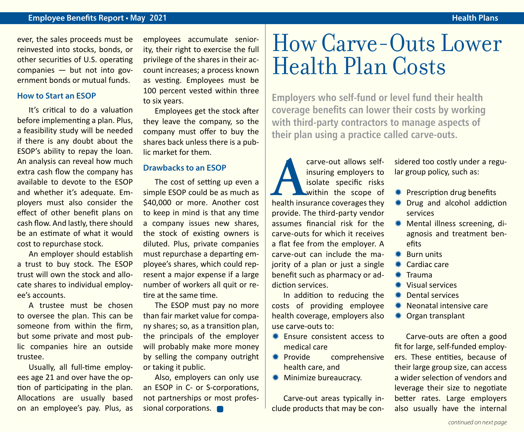#### **Employee Benefits Report • May 2021 Health Plans Health Plans Health Plans**

ever, the sales proceeds must be reinvested into stocks, bonds, or other securities of U.S. operating companies — but not into government bonds or mutual funds.

#### **How to Start an ESOP**

It's critical to do a valuation before implementing a plan. Plus, a feasibility study will be needed if there is any doubt about the ESOP's ability to repay the loan. An analysis can reveal how much extra cash flow the company has available to devote to the ESOP and whether it's adequate. Employers must also consider the effect of other benefit plans on cash flow. And lastly, there should be an estimate of what it would cost to repurchase stock.

An employer should establish a trust to buy stock. The ESOP trust will own the stock and allocate shares to individual employee's accounts.

A trustee must be chosen to oversee the plan. This can be someone from within the firm, but some private and most public companies hire an outside trustee.

Usually, all full-time employees age 21 and over have the option of participating in the plan. Allocations are usually based on an employee's pay. Plus, as employees accumulate seniority, their right to exercise the full privilege of the shares in their account increases; a process known as vesting. Employees must be 100 percent vested within three to six years.

Employees get the stock after they leave the company, so the company must offer to buy the shares back unless there is a public market for them.

#### **Drawbacks to an ESOP**

The cost of setting up even a simple ESOP could be as much as \$40,000 or more. Another cost to keep in mind is that any time a company issues new shares, the stock of existing owners is diluted. Plus, private companies must repurchase a departing employee's shares, which could represent a major expense if a large number of workers all quit or retire at the same time.

The ESOP must pay no more than fair market value for company shares; so, as a transition plan, the principals of the employer will probably make more money by selling the company outright or taking it public.

Also, employers can only use an ESOP in C- or S-corporations, not partnerships or most professional corporations.

## How Carve-Outs Lower Health Plan Costs

**Employers who self-fund or level fund their health coverage benefits can lower their costs by working with third-party contractors to manage aspects of their plan using a practice called carve-outs.**

**A** *carve-out allows self-* insuring employers to isolate specific risks within the scope of health insurance coverages they insuring employers to isolate specific risks within the scope of provide. The third-party vendor assumes financial risk for the carve-outs for which it receives a flat fee from the employer. A carve-out can include the majority of a plan or just a single benefit such as pharmacy or addiction services.

In addition to reducing the costs of providing employee health coverage, employers also use carve-outs to:

- $*$  Ensure consistent access to medical care
- $*$  Provide comprehensive health care, and
- **\*** Minimize bureaucracy.

Carve-out areas typically include products that may be considered too costly under a regular group policy, such as:

- **\*\*** Prescription drug benefits
- $*$  Drug and alcohol addiction services
- **Wental illness screening, di**agnosis and treatment benefits
- $*$  Burn units
- $*$  Cardiac care
- $*$  Trauma
- $*$  Visual services
- **\*\*** Dental services
- **\*\*** Neonatal intensive care
- **⊘** Organ transplant

Carve-outs are often a good fit for large, self-funded employers. These entities, because of their large group size, can access a wider selection of vendors and leverage their size to negotiate better rates. Large employers also usually have the internal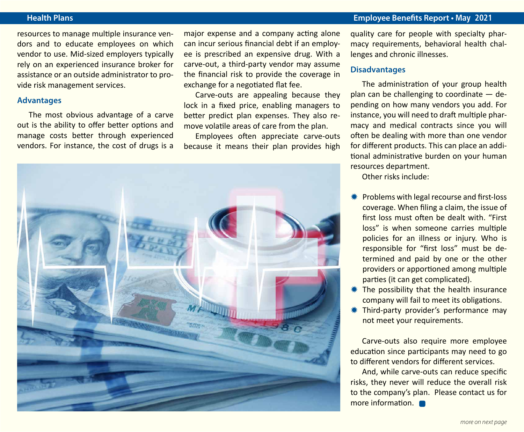#### **Health Plans Employee Benefits Report • May 2021**

resources to manage multiple insurance vendors and to educate employees on which vendor to use. Mid-sized employers typically rely on an experienced insurance broker for assistance or an outside administrator to provide risk management services.

#### **Advantages**

The most obvious advantage of a carve out is the ability to offer better options and manage costs better through experienced vendors. For instance, the cost of drugs is a

major expense and a company acting alone can incur serious financial debt if an employee is prescribed an expensive drug. With a carve-out, a third-party vendor may assume the financial risk to provide the coverage in exchange for a negotiated flat fee.

Carve-outs are appealing because they lock in a fixed price, enabling managers to better predict plan expenses. They also remove volatile areas of care from the plan.

Employees often appreciate carve-outs because it means their plan provides high



quality care for people with specialty pharmacy requirements, behavioral health challenges and chronic illnesses.

#### **Disadvantages**

The administration of your group health plan can be challenging to coordinate — depending on how many vendors you add. For instance, you will need to draft multiple pharmacy and medical contracts since you will often be dealing with more than one vendor for different products. This can place an additional administrative burden on your human resources department.

Other risks include:

- Problems with legal recourse and first-loss coverage. When filing a claim, the issue of first loss must often be dealt with. "First loss" is when someone carries multiple policies for an illness or injury. Who is responsible for "first loss" must be determined and paid by one or the other providers or apportioned among multiple parties (it can get complicated).
- $*$  The possibility that the health insurance company will fail to meet its obligations.
- **\* Third-party provider's performance may** not meet your requirements.

Carve-outs also require more employee education since participants may need to go to different vendors for different services.

And, while carve-outs can reduce specific risks, they never will reduce the overall risk to the company's plan. Please contact us for more information.